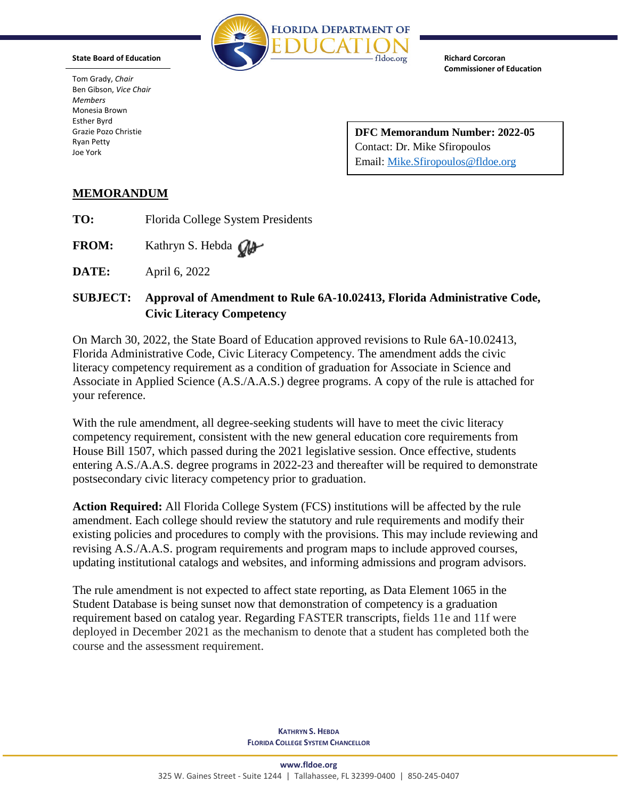

**State Board of Education**

Tom Grady, *Chair* Ben Gibson, *Vice Chair Members* Monesia Brown Esther Byrd Grazie Pozo Christie Ryan Petty Joe York

**Commissioner of Education**

**Richard Corcoran**

**DFC Memorandum Number: 2022-05** Contact: Dr. Mike Sfiropoulos Email: [Mike.Sfiropoulos@fldoe.org](mailto:Mike.Sfiropoulos@fldoe.org)

## **MEMORANDUM**

- **TO:** Florida College System Presidents
- FROM: Kathryn S. Hebda Old
- **DATE:** April 6, 2022

## **SUBJECT: Approval of Amendment to Rule 6A-10.02413, Florida Administrative Code, Civic Literacy Competency**

On March 30, 2022, the State Board of Education approved revisions to Rule 6A-10.02413, Florida Administrative Code, Civic Literacy Competency. The amendment adds the civic literacy competency requirement as a condition of graduation for Associate in Science and Associate in Applied Science (A.S./A.A.S.) degree programs. A copy of the rule is attached for your reference.

With the rule amendment, all degree-seeking students will have to meet the civic literacy competency requirement, consistent with the new general education core requirements from House Bill 1507, which passed during the 2021 legislative session. Once effective, students entering A.S./A.A.S. degree programs in 2022-23 and thereafter will be required to demonstrate postsecondary civic literacy competency prior to graduation.

**Action Required:** All Florida College System (FCS) institutions will be affected by the rule amendment. Each college should review the statutory and rule requirements and modify their existing policies and procedures to comply with the provisions. This may include reviewing and revising A.S./A.A.S. program requirements and program maps to include approved courses, updating institutional catalogs and websites, and informing admissions and program advisors.

The rule amendment is not expected to affect state reporting, as Data Element 1065 in the Student Database is being sunset now that demonstration of competency is a graduation requirement based on catalog year. Regarding FASTER transcripts, fields 11e and 11f were deployed in December 2021 as the mechanism to denote that a student has completed both the course and the assessment requirement.

> **KATHRYN S. HEBDA FLORIDA COLLEGE SYSTEM CHANCELLOR**